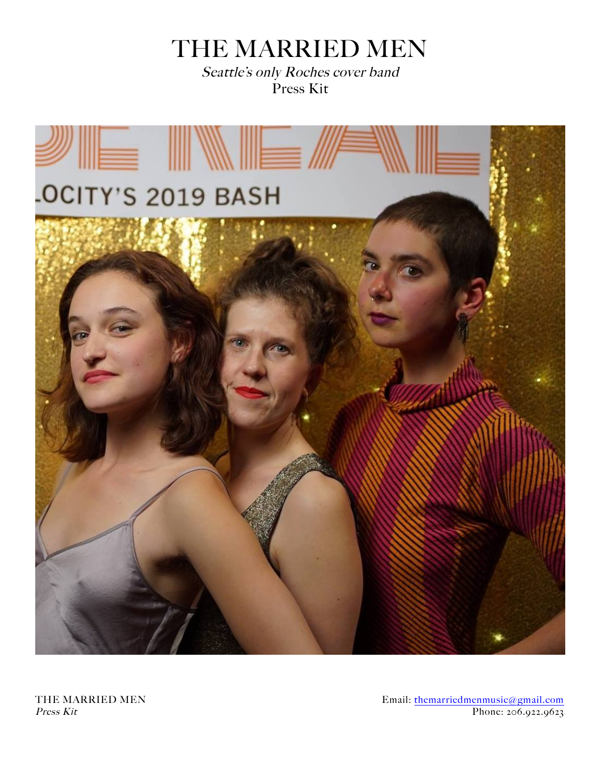# THE MARRIED MEN

Seattle's only Roches cover band Press Kit